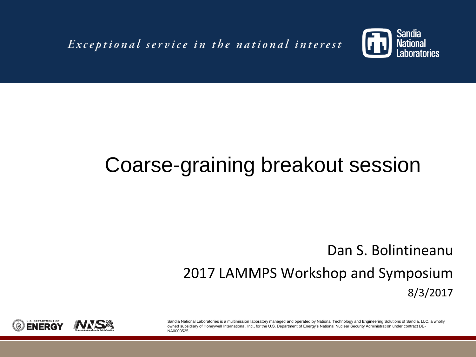Exceptional service in the national interest



### Coarse-graining breakout session

### Dan S. Bolintineanu 2017 LAMMPS Workshop and Symposium 8/3/2017

Sandia National Laboratories is a multimission laboratory managed and operated by National Technology and Engineering Solutions of Sandia, LLC, a wholly owned subsidiary of Honeywell International, Inc., for the U.S. Department of Energy's National Nuclear Security Administration under contract DE-NA0003525.

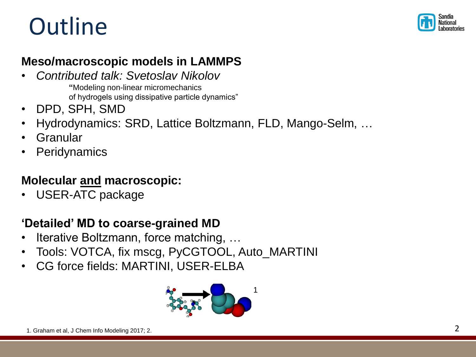## **Outline**



#### **Meso/macroscopic models in LAMMPS**

• *Contributed talk: Svetoslav Nikolov*

**"**Modeling non-linear micromechanics of hydrogels using dissipative particle dynamics"

- DPD, SPH, SMD
- Hydrodynamics: SRD, Lattice Boltzmann, FLD, Mango-Selm, …
- Granular
- **Peridynamics**

### **Molecular and macroscopic:**

• USER-ATC package

#### **'Detailed' MD to coarse-grained MD**

- Iterative Boltzmann, force matching, …
- Tools: VOTCA, fix mscg, PyCGTOOL, Auto\_MARTINI
- CG force fields: MARTINI, USER-ELBA

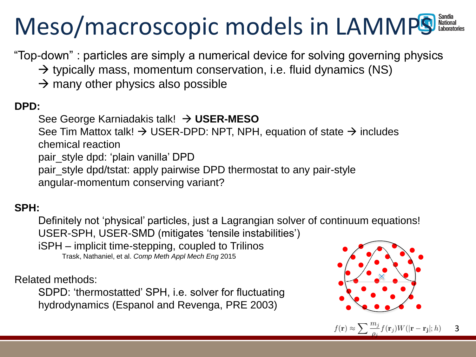# Meso/macroscopic models in LAMMPS

"Top-down" : particles are simply a numerical device for solving governing physics

- $\rightarrow$  typically mass, momentum conservation, i.e. fluid dynamics (NS)
- $\rightarrow$  many other physics also possible

#### **DPD:**

See George Karniadakis talk! **USER-MESO**

See Tim Mattox talk!  $\rightarrow$  USER-DPD: NPT, NPH, equation of state  $\rightarrow$  includes chemical reaction

pair\_style dpd: 'plain vanilla' DPD

pair\_style dpd/tstat: apply pairwise DPD thermostat to any pair-style angular-momentum conserving variant?

#### **SPH:**

Definitely not 'physical' particles, just a Lagrangian solver of continuum equations! USER-SPH, USER-SMD (mitigates 'tensile instabilities') iSPH – implicit time-stepping, coupled to Trilinos Trask, Nathaniel, et al. *Comp Meth Appl Mech Eng* 2015

Related methods:

SDPD: 'thermostatted' SPH, i.e. solver for fluctuating hydrodynamics (Espanol and Revenga, PRE 2003)

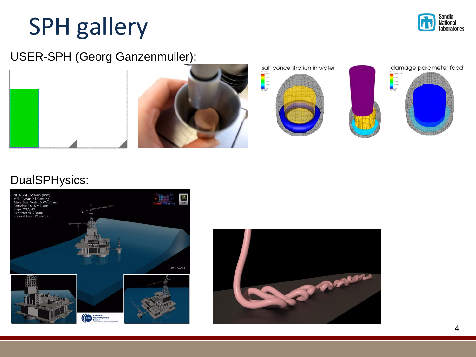# SPH gallery



USER-SPH (Georg Ganzenmuller):



#### DualSPHysics:



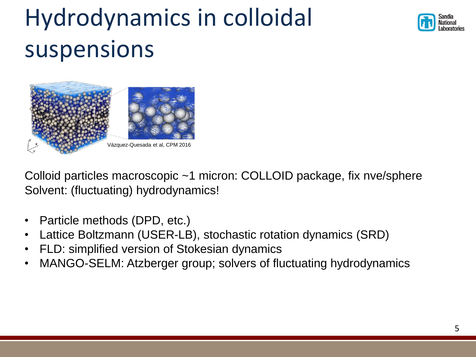# Hydrodynamics in colloidal suspensions





Colloid particles macroscopic ~1 micron: COLLOID package, fix nve/sphere Solvent: (fluctuating) hydrodynamics!

- Particle methods (DPD, etc.)
- Lattice Boltzmann (USER-LB), stochastic rotation dynamics (SRD)
- FLD: simplified version of Stokesian dynamics
- MANGO-SELM: Atzberger group; solvers of fluctuating hydrodynamics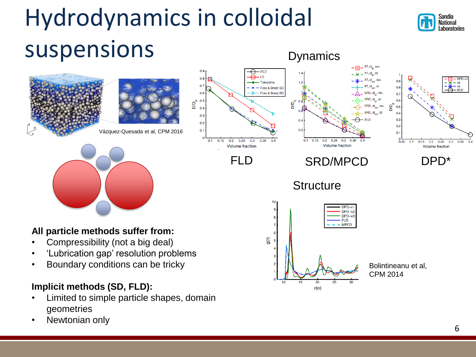# Hydrodynamics in colloidal suspensions

• Limited to simple particle shapes, domain

geometries

Newtonian only



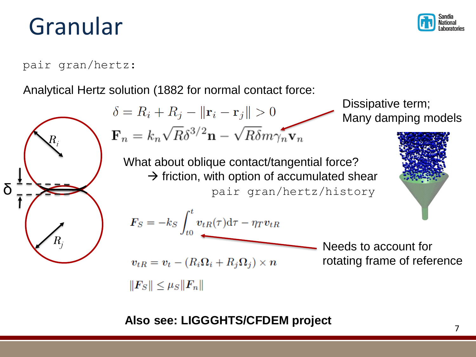### Granular



Dissipative term;

#### pair gran/hertz:

Analytical Hertz solution (1882 for normal contact force:

$$
\delta = R_i + R_j - ||\mathbf{r}_i - \mathbf{r}_j|| > 0
$$
 *Disspative term;*  
\n
$$
\delta = R_i + R_j - ||\mathbf{r}_i - \mathbf{r}_j|| > 0
$$
 *Using damping models*  
\n
$$
\mathbf{F}_n = k_n \sqrt{R} \delta^{3/2} \mathbf{n} - \sqrt{R} \delta m \gamma_n \mathbf{v}_n
$$
 *Many damping models*  
\nWhat about oblique contact/tangential force?  
\n
$$
\mathbf{F}_s = -k_s \int_{t_0}^t v_{th}(\tau) d\tau - \eta_T v_{th}
$$
  
\n
$$
F_s = -k_s \int_{t_0}^t v_{th}(\tau) d\tau - \eta_T v_{th}
$$
  
\nNeeds to account for  
\n
$$
v_{th} = v_t - (R_i \Omega_i + R_j \Omega_j) \times n
$$
 *N N the not not the not not where not not where not not not not not not not not not not not not not not not not not not not not not not not not not not not not not not not not not not not not not not not not not not not not not not not not not not not not not* <

**Also see: LIGGGHTS/CFDEM project**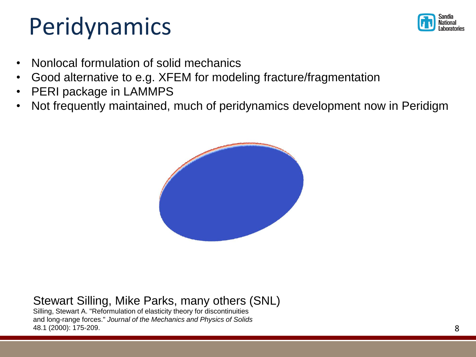### Peridynamics



- Nonlocal formulation of solid mechanics
- Good alternative to e.g. XFEM for modeling fracture/fragmentation
- PERI package in LAMMPS
- Not frequently maintained, much of peridynamics development now in Peridigm



#### Stewart Silling, Mike Parks, many others (SNL)

Silling, Stewart A. "Reformulation of elasticity theory for discontinuities and long-range forces." *Journal of the Mechanics and Physics of Solids* 48.1 (2000): 175-209.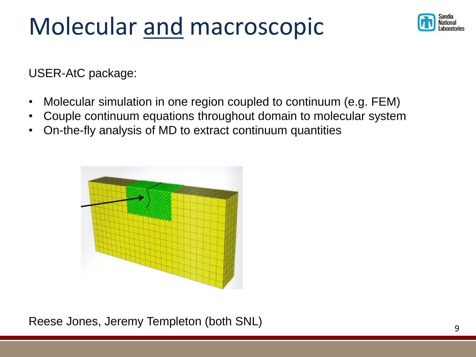## Molecular and macroscopic



USER-AtC package:

- Molecular simulation in one region coupled to continuum (e.g. FEM)
- Couple continuum equations throughout domain to molecular system
- On-the-fly analysis of MD to extract continuum quantities



Reese Jones, Jeremy Templeton (both SNL)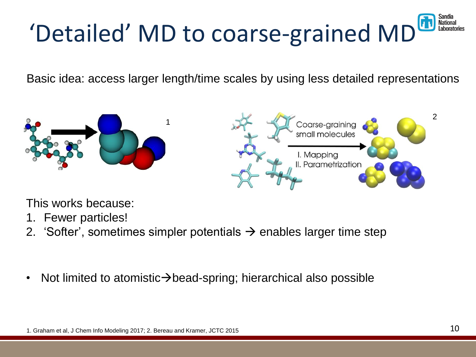### 'Detailed' MD to coarse-grained MD Laborato

Basic idea: access larger length/time scales by using less detailed representations





This works because:

- 1. Fewer particles!
- 2. 'Softer', sometimes simpler potentials  $\rightarrow$  enables larger time step
- Not limited to atomistic $\rightarrow$ bead-spring; hierarchical also possible